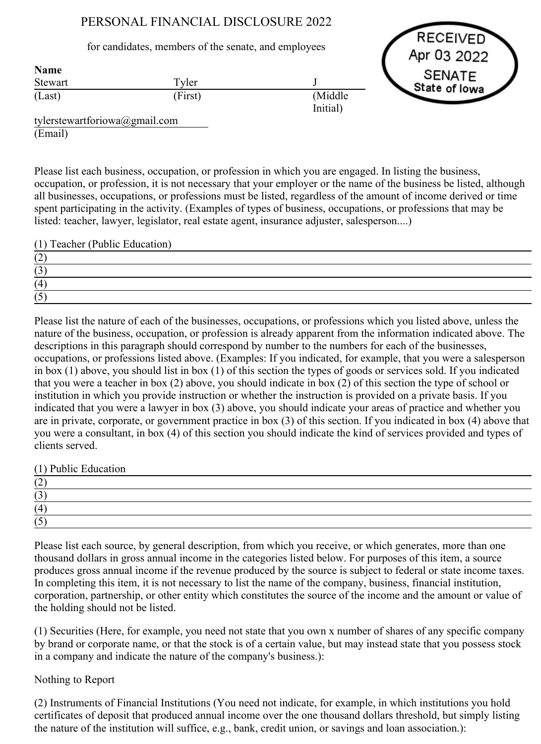# PERSONAL FINANCIAL DISCLOSURE 2022

# for candidates, members of the senate, and employees

Tyler (First) J (Middle Initial)



tylerstewartforiowa@gmail.com (Email)

**Stewart** (Last)

Name

Please list each business, occupation, or profession in which you are engaged. In listing the business, occupation, or profession, it is not necessary that your employer or the name of the business be listed, although all businesses, occupations, or professions must be listed, regardless of the amount of income derived or time spent participating in the activity. (Examples of types of business, occupations, or professions that may be listed: teacher, lawyer, legislator, real estate agent, insurance adjuster, salesperson....)

(1) Teacher (Public Education)

| $\sim$         |  |
|----------------|--|
| $\sim$         |  |
| $\overline{A}$ |  |
|                |  |

Please list the nature of each of the businesses, occupations, or professions which you listed above, unless the nature of the business, occupation, or profession is already apparent from the information indicated above. The descriptions in this paragraph should correspond by number to the numbers for each of the businesses, occupations, or professions listed above. (Examples: If you indicated, for example, that you were a salesperson in box (1) above, you should list in box (1) of this section the types of goods or services sold. If you indicated that you were a teacher in box (2) above, you should indicate in box (2) of this section the type of school or institution in which you provide instruction or whether the instruction is provided on a private basis. If you indicated that you were a lawyer in box (3) above, you should indicate your areas of practice and whether you are in private, corporate, or government practice in box (3) of this section. If you indicated in box (4) above that you were a consultant, in box (4) of this section you should indicate the kind of services provided and types of clients served.

(1) Public Education

| $\sim$ |  |  |
|--------|--|--|
| 1 J    |  |  |
| (4)    |  |  |
|        |  |  |

Please list each source, by general description, from which you receive, or which generates, more than one thousand dollars in gross annual income in the categories listed below. For purposes of this item, a source produces gross annual income if the revenue produced by the source is subject to federal or state income taxes. In completing this item, it is not necessary to list the name of the company, business, financial institution, corporation, partnership, or other entity which constitutes the source of the income and the amount or value of the holding should not be listed.

(1) Securities (Here, for example, you need not state that you own x number of shares of any specific company by brand or corporate name, or that the stock is of a certain value, but may instead state that you possess stock in a company and indicate the nature of the company's business.):

# Nothing to Report

(2) Instruments of Financial Institutions (You need not indicate, for example, in which institutions you hold certificates of deposit that produced annual income over the one thousand dollars threshold, but simply listing the nature of the institution will suffice, e.g., bank, credit union, or savings and loan association.):